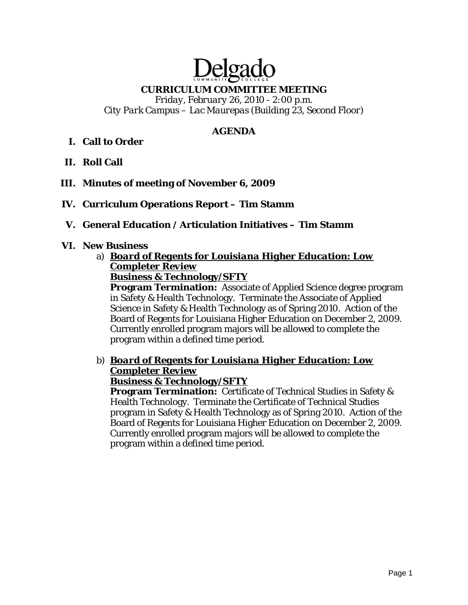# Delga

## **CURRICULUM COMMITTEE MEETING**

*Friday, February 26, 2010 - 2:00 p.m. City Park Campus – Lac Maurepas (Building 23, Second Floor)* 

## **AGENDA**

## **I. Call to Order**

- **II. Roll Call**
- **III. Minutes of meeting of November 6, 2009**

## **IV. Curriculum Operations Report – Tim Stamm**

#### **V. General Education / Articulation Initiatives – Tim Stamm**

#### **VI. New Business**

a) *Board of Regents for Louisiana Higher Education: Low Completer Review*

**Business & Technology/SFTY**

**Program Termination:** Associate of Applied Science degree program in Safety & Health Technology. Terminate the Associate of Applied Science in Safety & Health Technology as of Spring 2010. Action of the Board of Regents for Louisiana Higher Education on December 2, 2009. Currently enrolled program majors will be allowed to complete the program within a defined time period.

## b) *Board of Regents for Louisiana Higher Education: Low Completer Review*

#### **Business & Technology/SFTY**

**Program Termination:** Certificate of Technical Studies in Safety & Health Technology. Terminate the Certificate of Technical Studies program in Safety & Health Technology as of Spring 2010. Action of the Board of Regents for Louisiana Higher Education on December 2, 2009. Currently enrolled program majors will be allowed to complete the program within a defined time period.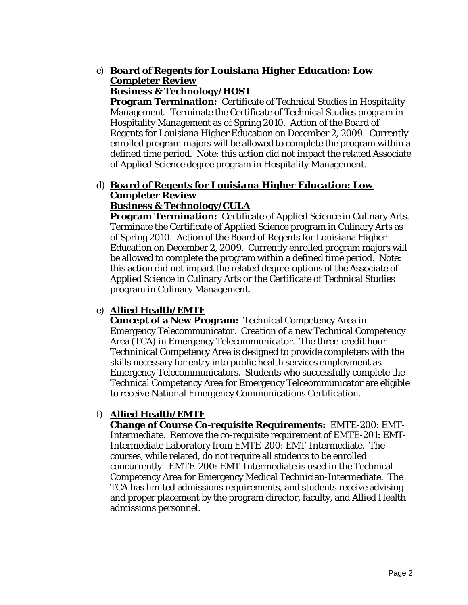#### c) *Board of Regents for Louisiana Higher Education: Low Completer Review* **Business & Technology/HOST**

**Program Termination:** Certificate of Technical Studies in Hospitality Management. Terminate the Certificate of Technical Studies program in Hospitality Management as of Spring 2010. Action of the Board of Regents for Louisiana Higher Education on December 2, 2009. Currently enrolled program majors will be allowed to complete the program within a defined time period. Note: this action did not impact the related Associate of Applied Science degree program in Hospitality Management.

#### d) *Board of Regents for Louisiana Higher Education: Low Completer Review* **Business & Technology/CULA**

**Program Termination:** Certificate of Applied Science in Culinary Arts. Terminate the Certificate of Applied Science program in Culinary Arts as of Spring 2010. Action of the Board of Regents for Louisiana Higher Education on December 2, 2009. Currently enrolled program majors will be allowed to complete the program within a defined time period. Note: this action did not impact the related degree-options of the Associate of Applied Science in Culinary Arts or the Certificate of Technical Studies program in Culinary Management.

## e) **Allied Health/EMTE**

**Concept of a New Program:** Technical Competency Area in Emergency Telecommunicator. Creation of a new Technical Competency Area (TCA) in Emergency Telecommunicator. The three-credit hour Techninical Competency Area is designed to provide completers with the skills necessary for entry into public health services employment as Emergency Telecommunicators. Students who successfully complete the Technical Competency Area for Emergency Telceommunicator are eligible to receive National Emergency Communications Certification.

## f) **Allied Health/EMTE**

**Change of Course Co-requisite Requirements:** EMTE-200: EMT-Intermediate. Remove the co-requisite requirement of EMTE-201: EMT-Intermediate Laboratory from EMTE-200: EMT-Intermediate. The courses, while related, do not require all students to be enrolled concurrently. EMTE-200: EMT-Intermediate is used in the Technical Competency Area for Emergency Medical Technician-Intermediate. The TCA has limited admissions requirements, and students receive advising and proper placement by the program director, faculty, and Allied Health admissions personnel.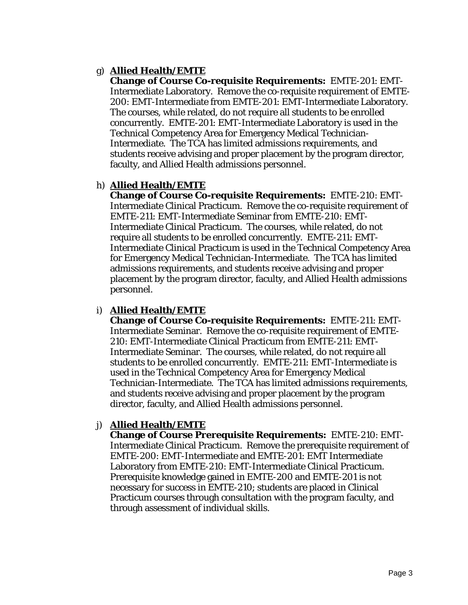## g) **Allied Health/EMTE**

**Change of Course Co-requisite Requirements:** EMTE-201: EMT-Intermediate Laboratory. Remove the co-requisite requirement of EMTE-200: EMT-Intermediate from EMTE-201: EMT-Intermediate Laboratory. The courses, while related, do not require all students to be enrolled concurrently. EMTE-201: EMT-Intermediate Laboratory is used in the Technical Competency Area for Emergency Medical Technician-Intermediate. The TCA has limited admissions requirements, and students receive advising and proper placement by the program director, faculty, and Allied Health admissions personnel.

## h) **Allied Health/EMTE**

**Change of Course Co-requisite Requirements:** EMTE-210: EMT-Intermediate Clinical Practicum. Remove the co-requisite requirement of EMTE-211: EMT-Intermediate Seminar from EMTE-210: EMT-Intermediate Clinical Practicum. The courses, while related, do not require all students to be enrolled concurrently. EMTE-211: EMT-Intermediate Clinical Practicum is used in the Technical Competency Area for Emergency Medical Technician-Intermediate. The TCA has limited admissions requirements, and students receive advising and proper placement by the program director, faculty, and Allied Health admissions personnel.

## i) **Allied Health/EMTE**

**Change of Course Co-requisite Requirements:** EMTE-211: EMT-Intermediate Seminar. Remove the co-requisite requirement of EMTE-210: EMT-Intermediate Clinical Practicum from EMTE-211: EMT-Intermediate Seminar. The courses, while related, do not require all students to be enrolled concurrently. EMTE-211: EMT-Intermediate is used in the Technical Competency Area for Emergency Medical Technician-Intermediate. The TCA has limited admissions requirements, and students receive advising and proper placement by the program director, faculty, and Allied Health admissions personnel.

#### j) **Allied Health/EMTE**

**Change of Course Prerequisite Requirements:** EMTE-210: EMT-Intermediate Clinical Practicum. Remove the prerequisite requirement of EMTE-200: EMT-Intermediate and EMTE-201: EMT Intermediate Laboratory from EMTE-210: EMT-Intermediate Clinical Practicum. Prerequisite knowledge gained in EMTE-200 and EMTE-201 is not necessary for success in EMTE-210; students are placed in Clinical Practicum courses through consultation with the program faculty, and through assessment of individual skills.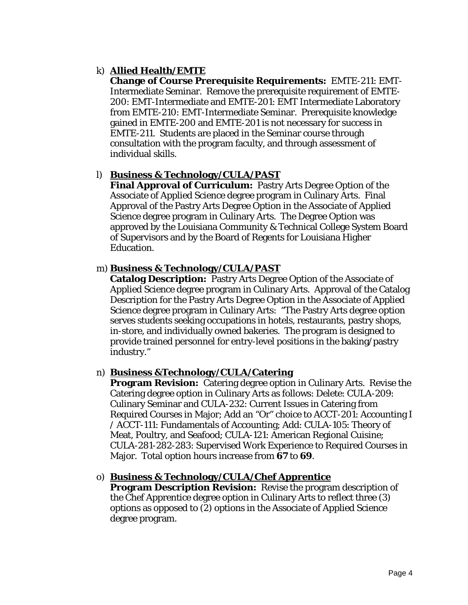## k) **Allied Health/EMTE**

**Change of Course Prerequisite Requirements:** EMTE-211: EMT-Intermediate Seminar. Remove the prerequisite requirement of EMTE-200: EMT-Intermediate and EMTE-201: EMT Intermediate Laboratory from EMTE-210: EMT-Intermediate Seminar. Prerequisite knowledge gained in EMTE-200 and EMTE-201 is not necessary for success in EMTE-211. Students are placed in the Seminar course through consultation with the program faculty, and through assessment of individual skills.

#### l) **Business & Technology/CULA/PAST**

**Final Approval of Curriculum:** Pastry Arts Degree Option of the Associate of Applied Science degree program in Culinary Arts. Final Approval of the Pastry Arts Degree Option in the Associate of Applied Science degree program in Culinary Arts. The Degree Option was approved by the Louisiana Community & Technical College System Board of Supervisors and by the Board of Regents for Louisiana Higher Education.

#### m) **Business & Technology/CULA/PAST**

**Catalog Description:** Pastry Arts Degree Option of the Associate of Applied Science degree program in Culinary Arts. Approval of the Catalog Description for the Pastry Arts Degree Option in the Associate of Applied Science degree program in Culinary Arts: "The Pastry Arts degree option serves students seeking occupations in hotels, restaurants, pastry shops, in-store, and individually owned bakeries. The program is designed to provide trained personnel for entry-level positions in the baking/pastry industry."

#### n) **Business &Technology/CULA/Catering**

**Program Revision:** Catering degree option in Culinary Arts. Revise the Catering degree option in Culinary Arts as follows: Delete: CULA-209: Culinary Seminar and CULA-232: Current Issues in Catering from Required Courses in Major; Add an "Or" choice to ACCT-201: Accounting I / ACCT-111: Fundamentals of Accounting; Add: CULA-105: Theory of Meat, Poultry, and Seafood; CULA-121: American Regional Cuisine; CULA-281-282-283: Supervised Work Experience to Required Courses in Major. Total option hours increase from **67** to **69**.

#### o) **Business & Technology/CULA/Chef Apprentice**

**Program Description Revision:** Revise the program description of the Chef Apprentice degree option in Culinary Arts to reflect three (3) options as opposed to (2) options in the Associate of Applied Science degree program.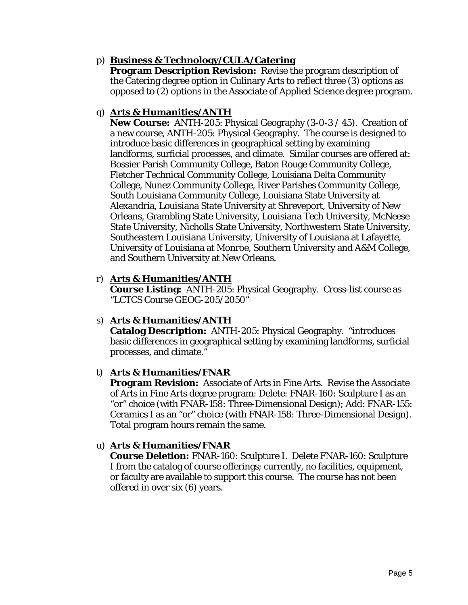## p) **Business & Technology/CULA/Catering**

**Program Description Revision:** Revise the program description of the Catering degree option in Culinary Arts to reflect three (3) options as opposed to (2) options in the Associate of Applied Science degree program.

#### q) **Arts & Humanities/ANTH**

**New Course:** ANTH-205: Physical Geography (3-0-3 / 45). Creation of a new course, ANTH-205: Physical Geography. The course is designed to introduce basic differences in geographical setting by examining landforms, surficial processes, and climate. Similar courses are offered at: Bossier Parish Community College, Baton Rouge Community College, Fletcher Technical Community College, Louisiana Delta Community College, Nunez Community College, River Parishes Community College, South Louisiana Community College, Louisiana State University at Alexandria, Louisiana State University at Shreveport, University of New Orleans, Grambling State University, Louisiana Tech University, McNeese State University, Nicholls State University, Northwestern State University, Southeastern Louisiana University, University of Louisiana at Lafayette, University of Louisiana at Monroe, Southern University and A&M College, and Southern University at New Orleans.

## r) **Arts & Humanities/ANTH**

**Course Listing:** ANTH-205: Physical Geography. Cross-list course as "LCTCS Course GEOG-205/2050"

#### s) **Arts & Humanities/ANTH**

**Catalog Description:** ANTH-205: Physical Geography. "introduces basic differences in geographical setting by examining landforms, surficial processes, and climate."

#### t) **Arts & Humanities/FNAR**

**Program Revision:** Associate of Arts in Fine Arts. Revise the Associate of Arts in Fine Arts degree program: Delete: FNAR-160: Sculpture I as an "or" choice (with FNAR-158: Three-Dimensional Design); Add: FNAR-155: Ceramics I as an "or" choice (with FNAR-158: Three-Dimensional Design). Total program hours remain the same.

#### u) **Arts & Humanities/FNAR**

**Course Deletion:** FNAR-160: Sculpture I. Delete FNAR-160: Sculpture I from the catalog of course offerings; currently, no facilities, equipment, or faculty are available to support this course. The course has not been offered in over six (6) years.